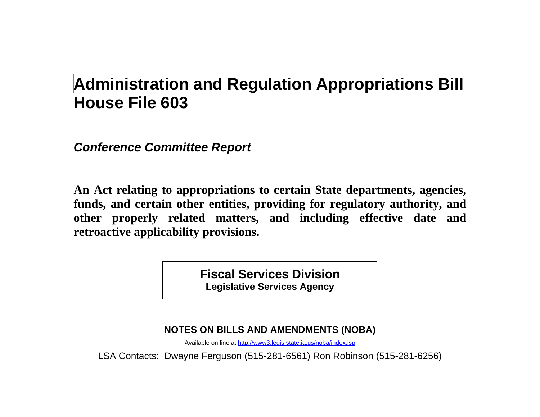# **Administration and Regulation Appropriations Bill House File 603**

*Conference Committee Report* 

**An Act relating to appropriations to certain State departments, agencies, funds, and certain other entities, providing for regulatory authority, and other properly related matters, and including effective date and retroactive applicability provisions.** 

> **Fiscal Services Division Legislative Services Agency**

**NOTES ON BILLS AND AMENDMENTS (NOBA)** 

Available on line at http://www3.legis.state.ia.us/noba/index.jsp

LSA Contacts: Dwayne Ferguson (515-281-6561) Ron Robinson (515-281-6256)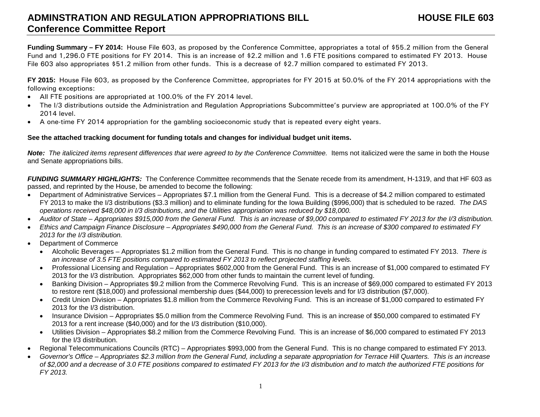### **ADMINSTRATION AND REGULATION APPROPRIATIONS BILL HOUSE FILE 603Conference Committee Report**

**Funding Summary – FY 2014:** House File 603, as proposed by the Conference Committee, appropriates a total of \$55.2 million from the General Fund and 1,296.0 FTE positions for FY 2014. This is an increase of \$2.2 million and 1.6 FTE positions compared to estimated FY 2013. House File 603 also appropriates \$51.2 million from other funds. This is a decrease of \$2.7 million compared to estimated FY 2013.

**FY 2015:** House File 603, as proposed by the Conference Committee, appropriates for FY 2015 at 50.0% of the FY 2014 appropriations with the following exceptions:

- $\bullet$ All FTE positions are appropriated at 100.0% of the FY 2014 level.
- . The I/3 distributions outside the Administration and Regulation Appropriations Subcommittee's purview are appropriated at 100.0% of the FY 2014 level.
- $\bullet$ A one-time FY 2014 appropriation for the gambling socioeconomic study that is repeated every eight years.

#### **See the attached tracking document for funding totals and changes for individual budget unit items.**

*Note: The italicized items represent differences that were agreed to by the Conference Committee.* Items not italicized were the same in both the House and Senate appropriations bills.

*FUNDING SUMMARY HIGHLIGHTS:* The Conference Committee recommends that the Senate recede from its amendment, H-1319, and that HF 603 as passed, and reprinted by the House, be amended to become the following:

- Department of Administrative Services Appropriates \$7.1 million from the General Fund. This is a decrease of \$4.2 million compared to estimated FY 2013 to make the I/3 distributions (\$3.3 million) and to eliminate funding for the Iowa Building (\$996,000) that is scheduled to be razed. *The DAS operations received \$48,000 in I/3 distributions*, *and the Utilities appropriation was reduced by \$18,000.*
- $\bullet$ *Auditor of State – Appropriates \$915,000 from the General Fund. This is an increase of \$9,000 compared to estimated FY 2013 for the I/3 distribution.*
- . *Ethics and Campaign Finance Disclosure – Appropriates \$490,000 from the General Fund. This is an increase of \$300 compared to estimated FY 2013 for the I/3 distribution.*
- Department of Commerce
	- Alcoholic Beverages Appropriates \$1.2 million from the General Fund. This is no change in funding compared to estimated FY 2013. *There is an increase of 3.5 FTE positions compared to estimated FY 2013 to reflect projected staffing levels.*
	- Professional Licensing and Regulation Appropriates \$602,000 from the General Fund. This is an increase of \$1,000 compared to estimated FY 2013 for the I/3 distribution. Appropriates \$62,000 from other funds to maintain the current level of funding.
	- Banking Division Appropriates \$9.2 million from the Commerce Revolving Fund. This is an increase of \$69,000 compared to estimated FY 2013 to restore rent (\$18,000) and professional membership dues (\$44,000) to prerecession levels and for I/3 distribution (\$7,000).
	- Credit Union Division Appropriates \$1.8 million from the Commerce Revolving Fund. This is an increase of \$1,000 compared to estimated FY 2013 for the I/3 distribution.
	- Insurance Division Appropriates \$5.0 million from the Commerce Revolving Fund. This is an increase of \$50,000 compared to estimated FY 2013 for a rent increase (\$40,000) and for the I/3 distribution (\$10,000).
	- Utilities Division Appropriates \$8.2 million from the Commerce Revolving Fund. This is an increase of \$6,000 compared to estimated FY 2013 for the I/3 distribution.
- Regional Telecommunications Councils (RTC) Appropriates \$993,000 from the General Fund. This is no change compared to estimated FY 2013.
- . *Governor's Office – Appropriates \$2.3 million from the General Fund, including a separate appropriation for Terrace Hill Quarters. This is an increase of \$2,000 and a decrease of 3.0 FTE positions compared to estimated FY 2013 for the I/3 distribution and to match the authorized FTE positions for FY 2013.*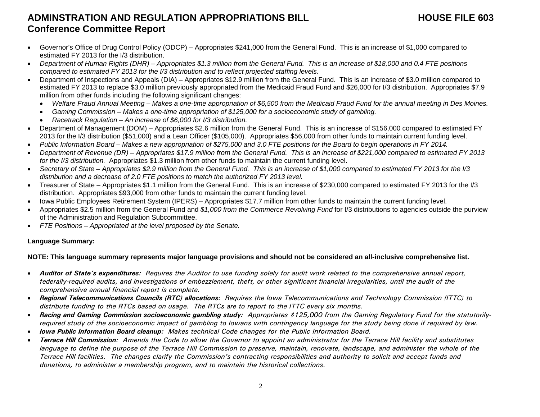### **ADMINSTRATION AND REGULATION APPROPRIATIONS BILL HOUSE FILE 603Conference Committee Report**

- Governor's Office of Drug Control Policy (ODCP) Appropriates \$241,000 from the General Fund. This is an increase of \$1,000 compared to estimated FY 2013 for the I/3 distribution.
- . *Department of Human Rights (DHR) – Appropriates \$1.3 million from the General Fund. This is an increase of \$18,000 and 0.4 FTE positions compared to estimated FY 2013 for the I/3 distribution and to reflect projected staffing levels.*
- Department of Inspections and Appeals (DIA) Appropriates \$12.9 million from the General Fund. This is an increase of \$3.0 million compared to estimated FY 2013 to replace \$3.0 million previously appropriated from the Medicaid Fraud Fund and \$26,000 for I/3 distribution. Appropriates \$7.9 million from other funds including the following significant changes:
	- $\bullet$ *Welfare Fraud Annual Meeting – Makes a one-time appropriation of \$6,500 from the Medicaid Fraud Fund for the annual meeting in Des Moines.*
	- $\bullet$ *Gaming Commission – Makes a one-time appropriation of \$125,000 for a socioeconomic study of gambling.*
	- *Racetrack Regulation An increase of \$6,000 for I/3 distribution.*
- Department of Management (DOM) Appropriates \$2.6 million from the General Fund. This is an increase of \$156,000 compared to estimated FY 2013 for the I/3 distribution (\$51,000) and a Lean Officer (\$105,000). Appropriates \$56,000 from other funds to maintain current funding level.
- . *Public Information Board – Makes a new appropriation of \$275,000 and 3.0 FTE positions for the Board to begin operations in FY 2014.*
- . *Department of Revenue (DR) – Appropriates \$17.9 million from the General Fund. This is an increase of \$221,000 compared to estimated FY 2013 for the I/3 distribution.* Appropriates \$1.3 million from other funds to maintain the current funding level.
- . *Secretary of State – Appropriates \$2.9 million from the General Fund. This is an increase of \$1,000 compared to estimated FY 2013 for the I/3 distribution and a decrease of 2.0 FTE positions to match the authorized FY 2013 level.*
- Treasurer of State Appropriates \$1.1 million from the General Fund. This is an increase of \$230,000 compared to estimated FY 2013 for the I/3 distribution. Appropriates \$93,000 from other funds to maintain the current funding level.
- Iowa Public Employees Retirement System (IPERS) Appropriates \$17.7 million from other funds to maintain the current funding level.
- Appropriates \$2.5 million from the General Fund and *\$1,000 from the Commerce Revolving Fund* for I/3 distributions to agencies outside the purview of the Administration and Regulation Subcommittee.
- $\bullet$ *FTE Positions – Appropriated at the level proposed by the Senate.*

#### **Language Summary:**

#### **NOTE: This language summary represents major language provisions and should not be considered an all-inclusive comprehensive list.**

- . *Auditor of State's expenditures: Requires the Auditor to use funding solely for audit work related to the comprehensive annual report, federally-required audits, and investigations of embezzlement, theft, or other significant financial irregularities, until the audit of the comprehensive annual financial report is complete.*
- $\bullet$  *Regional Telecommunications Councils (RTC) allocations: Requires the Iowa Telecommunications and Technology Commission (ITTC) to distribute funding to the RTCs based on usage. The RTCs are to report to the ITTC every six months.*
- $\bullet$  *Racing and Gaming Commission socioeconomic gambling study: Appropriates \$125,000 from the Gaming Regulatory Fund for the statutorilyrequired study of the socioeconomic impact of gambling to Iowans with contingency language for the study being done if required by law.*
- . *Iowa Public Information Board cleanup: Makes technical Code changes for the Public Information Board.*
- . *Terrace Hill Commission: Amends the Code to allow the Governor to appoint an administrator for the Terrace Hill facility and substitutes*  language to define the purpose of the Terrace Hill Commission to preserve, maintain, renovate, landscape, and administer the whole of the *Terrace Hill facilities. The changes clarify the Commission's contracting responsibilities and authority to solicit and accept funds and donations, to administer a membership program, and to maintain the historical collections.*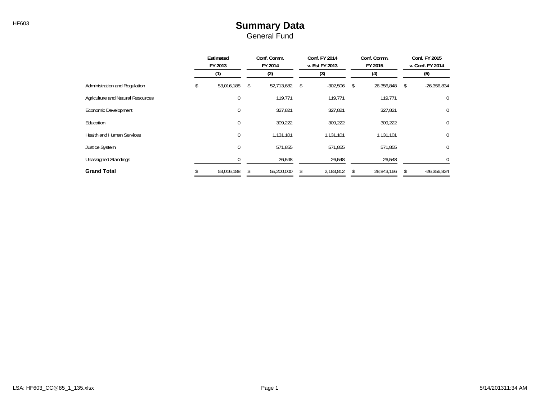#### HF603 **Summary Data** General Fund

|                                   |    | Estimated<br>FY 2013<br>(1) |         | Conf. Comm.<br>FY 2014 |         | Conf. FY 2014<br>v. Est FY 2013 |         | Conf. Comm.<br>FY 2015 | Conf. FY 2015<br>v. Conf. FY 2014 |               |  |
|-----------------------------------|----|-----------------------------|---------|------------------------|---------|---------------------------------|---------|------------------------|-----------------------------------|---------------|--|
|                                   |    |                             |         | (2)                    | (3)     |                                 | (4)     |                        | (5)                               |               |  |
| Administration and Regulation     | \$ | 53,016,188                  | \$      | 52,713,682             | \$      | $-302,506$                      | -S      | 26,356,848             | \$                                | $-26,356,834$ |  |
| Agriculture and Natural Resources |    | 0                           |         | 119,771                |         | 119,771                         |         | 119,771                |                                   | 0             |  |
| Economic Development              |    | 0                           |         | 327,821                |         | 327,821                         |         | 327,821                |                                   | $\mathbf 0$   |  |
| Education                         |    | 0                           |         | 309,222                |         | 309,222                         |         | 309,222                |                                   | $\mathbf 0$   |  |
| <b>Health and Human Services</b>  |    | 0                           |         | 1,131,101              |         | 1,131,101                       |         | 1,131,101              |                                   | 0             |  |
| <b>Justice System</b>             |    | 0                           | 571,855 |                        | 571,855 |                                 | 571,855 |                        |                                   | 0             |  |
| <b>Unassigned Standings</b>       |    |                             |         | 26,548                 |         | 26,548                          |         | 26,548                 |                                   | $\Omega$      |  |
| <b>Grand Total</b>                |    | 53,016,188                  |         | 55,200,000             |         | 2,183,812                       |         | 28,843,166             |                                   | $-26,356,834$ |  |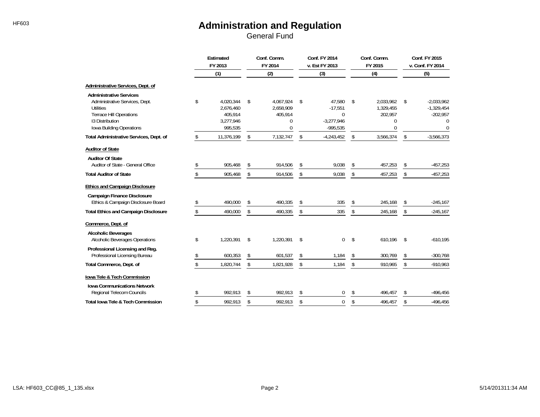|                                                                                                                                                                       | <b>Estimated</b><br>FY 2013 |                                                           | Conf. Comm.<br>FY 2014                            | Conf. FY 2014<br>v. Est FY 2013                                     | Conf. Comm.<br>FY 2015                            | Conf. FY 2015<br>v. Conf. FY 2014 |                                                                           |  |
|-----------------------------------------------------------------------------------------------------------------------------------------------------------------------|-----------------------------|-----------------------------------------------------------|---------------------------------------------------|---------------------------------------------------------------------|---------------------------------------------------|-----------------------------------|---------------------------------------------------------------------------|--|
|                                                                                                                                                                       |                             | (1)                                                       | (2)                                               | (3)                                                                 | (4)                                               |                                   | (5)                                                                       |  |
| Administrative Services, Dept. of                                                                                                                                     |                             |                                                           |                                                   |                                                                     |                                                   |                                   |                                                                           |  |
| <b>Administrative Services</b><br>Administrative Services, Dept.<br><b>Utilities</b><br><b>Terrace Hill Operations</b><br>13 Distribution<br>Iowa Building Operations | \$                          | 4.020.344<br>2,676,460<br>405.914<br>3,277,946<br>995,535 | \$<br>4.067.924<br>2,658,909<br>405,914<br>0<br>0 | \$<br>47,580<br>$-17,551$<br>$\Omega$<br>$-3,277,946$<br>$-995,535$ | \$<br>2.033.962<br>1,329,455<br>202,957<br>0<br>0 | \$                                | $-2.033.962$<br>$-1,329,454$<br>$-202,957$<br>$\mathbf{0}$<br>$\mathbf 0$ |  |
| Total Administrative Services, Dept. of                                                                                                                               | \$                          | 11,376,199                                                | \$<br>7,132,747                                   | \$<br>$-4,243,452$                                                  | \$<br>3,566,374                                   | \$                                | $-3,566,373$                                                              |  |
| <b>Auditor of State</b>                                                                                                                                               |                             |                                                           |                                                   |                                                                     |                                                   |                                   |                                                                           |  |
| <b>Auditor Of State</b><br>Auditor of State - General Office                                                                                                          | \$                          | 905,468                                                   | \$<br>914,506                                     | \$<br>9,038                                                         | \$<br>457,253                                     | \$                                | $-457,253$                                                                |  |
| <b>Total Auditor of State</b>                                                                                                                                         | \$                          | 905,468                                                   | \$<br>914,506                                     | \$<br>9,038                                                         | \$<br>457,253                                     | \$                                | $-457,253$                                                                |  |
| <b>Ethics and Campaign Disclosure</b>                                                                                                                                 |                             |                                                           |                                                   |                                                                     |                                                   |                                   |                                                                           |  |
| <b>Campaign Finance Disclosure</b><br>Ethics & Campaign Disclosure Board                                                                                              |                             | 490,000                                                   | \$<br>490,335                                     | \$<br>335                                                           | \$<br>245,168                                     | \$                                | $-245,167$                                                                |  |
| <b>Total Ethics and Campaign Disclosure</b>                                                                                                                           | \$                          | 490,000                                                   | \$<br>490,335                                     | \$<br>335                                                           | \$<br>245,168                                     | \$                                | $-245,167$                                                                |  |
| Commerce, Dept. of                                                                                                                                                    |                             |                                                           |                                                   |                                                                     |                                                   |                                   |                                                                           |  |
| <b>Alcoholic Beverages</b><br>Alcoholic Beverages Operations                                                                                                          | \$                          | 1,220,391                                                 | \$<br>1,220,391                                   | \$<br>$\overline{0}$                                                | \$<br>610,196                                     | $\mathsf{\$}$                     | $-610,195$                                                                |  |
| Professional Licensing and Reg.<br>Professional Licensing Bureau                                                                                                      |                             | 600,353                                                   | \$<br>601,537                                     | \$<br>1,184                                                         | \$<br>300,769                                     | \$                                | $-300,768$                                                                |  |
| Total Commerce, Dept. of                                                                                                                                              | \$                          | 1,820,744                                                 | \$<br>1,821,928                                   | \$<br>1,184                                                         | \$<br>910,965                                     | \$                                | $-910,963$                                                                |  |
| lowa Tele & Tech Commission                                                                                                                                           |                             |                                                           |                                                   |                                                                     |                                                   |                                   |                                                                           |  |
| <b>Iowa Communications Network</b><br>Regional Telecom Councils                                                                                                       | \$                          | 992,913                                                   | \$<br>992,913                                     | \$<br>0                                                             | \$<br>496,457                                     | \$                                | $-496,456$                                                                |  |
| <b>Total lowa Tele &amp; Tech Commission</b>                                                                                                                          | \$                          | 992,913                                                   | \$<br>992,913                                     | \$<br>0                                                             | \$<br>496,457                                     | \$                                | $-496,456$                                                                |  |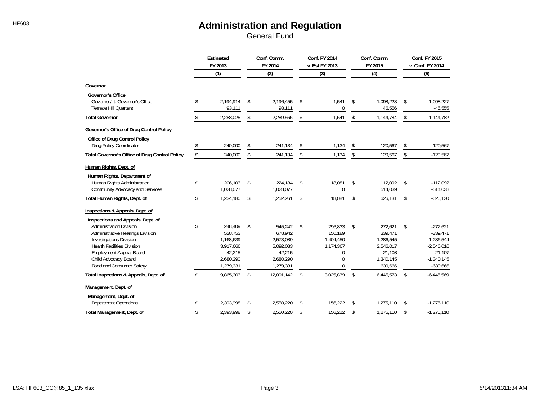|                                                                                                                                                                                                                                 | Estimated<br>FY 2013 |                                                                                  | Conf. Comm.<br>FY 2014                                                                 |    | Conf. FY 2014<br>v. Est FY 2013                                    |    | Conf. Comm.<br>FY 2015                                                         | Conf. FY 2015<br>v. Conf. FY 2014 |                                                                                                     |  |
|---------------------------------------------------------------------------------------------------------------------------------------------------------------------------------------------------------------------------------|----------------------|----------------------------------------------------------------------------------|----------------------------------------------------------------------------------------|----|--------------------------------------------------------------------|----|--------------------------------------------------------------------------------|-----------------------------------|-----------------------------------------------------------------------------------------------------|--|
|                                                                                                                                                                                                                                 |                      | (1)                                                                              | (2)                                                                                    |    | (3)                                                                |    | (4)                                                                            | (5)                               |                                                                                                     |  |
| Governor                                                                                                                                                                                                                        |                      |                                                                                  |                                                                                        |    |                                                                    |    |                                                                                |                                   |                                                                                                     |  |
| <b>Governor's Office</b><br>Governor/Lt. Governor's Office<br><b>Terrace Hill Quarters</b>                                                                                                                                      | \$                   | 2,194,914<br>93,111                                                              | \$<br>2,196,455<br>93,111                                                              | \$ | 1,541<br>$\theta$                                                  | \$ | 1,098,228<br>46,556                                                            | \$                                | $-1,098,227$<br>$-46,555$                                                                           |  |
| <b>Total Governor</b>                                                                                                                                                                                                           | \$                   | 2,288,025                                                                        | \$<br>2,289,566                                                                        | \$ | 1,541                                                              | \$ | 1,144,784                                                                      | \$                                | $-1,144,782$                                                                                        |  |
| Governor's Office of Drug Control Policy                                                                                                                                                                                        |                      |                                                                                  |                                                                                        |    |                                                                    |    |                                                                                |                                   |                                                                                                     |  |
| Office of Drug Control Policy<br>Drug Policy Coordinator                                                                                                                                                                        | \$                   | 240.000                                                                          | \$<br>241,134                                                                          | \$ | 1,134                                                              | \$ | 120,567                                                                        | \$                                | $-120,567$                                                                                          |  |
| <b>Total Governor's Office of Drug Control Policy</b>                                                                                                                                                                           | \$                   | 240,000                                                                          | \$<br>241,134                                                                          | \$ | 1,134                                                              | \$ | 120,567                                                                        | \$                                | $-120,567$                                                                                          |  |
| Human Rights, Dept. of<br>Human Rights, Department of                                                                                                                                                                           |                      |                                                                                  |                                                                                        |    |                                                                    |    |                                                                                |                                   |                                                                                                     |  |
| Human Rights Administration<br>Community Advocacy and Services                                                                                                                                                                  | \$                   | 206,103<br>1,028,077                                                             | \$<br>224,184<br>1,028,077                                                             | \$ | 18,081<br>$\mathbf 0$                                              | \$ | 112,092<br>514,039                                                             | \$                                | $-112,092$<br>$-514,038$                                                                            |  |
| Total Human Rights, Dept. of                                                                                                                                                                                                    | \$                   | 1,234,180                                                                        | \$<br>1,252,261                                                                        | \$ | 18,081                                                             | \$ | 626,131                                                                        | \$                                | $-626,130$                                                                                          |  |
| Inspections & Appeals, Dept. of<br>Inspections and Appeals, Dept. of                                                                                                                                                            |                      |                                                                                  |                                                                                        |    |                                                                    |    |                                                                                |                                   |                                                                                                     |  |
| <b>Administration Division</b><br>Administrative Hearings Division<br><b>Investigations Division</b><br><b>Health Facilities Division</b><br><b>Employment Appeal Board</b><br>Child Advocacy Board<br>Food and Consumer Safety | \$                   | 248,409<br>528.753<br>1,168,639<br>3,917,666<br>42,215<br>2,680,290<br>1,279,331 | \$<br>545,242<br>678,942<br>2,573,089<br>5,092,033<br>42,215<br>2,680,290<br>1,279,331 | \$ | 296,833<br>150,189<br>1,404,450<br>1,174,367<br>$\Omega$<br>0<br>U | \$ | 272,621<br>339.471<br>1,286,545<br>2,546,017<br>21,108<br>1.340.145<br>639,666 | \$                                | $-272,621$<br>$-339,471$<br>$-1,286,544$<br>$-2,546,016$<br>$-21,107$<br>$-1,340,145$<br>$-639,665$ |  |
| Total Inspections & Appeals, Dept. of                                                                                                                                                                                           |                      | 9,865,303                                                                        | \$<br>12,891,142                                                                       | \$ | 3,025,839                                                          | \$ | 6,445,573                                                                      | \$                                | $-6,445,569$                                                                                        |  |
| Management, Dept. of<br>Management, Dept. of                                                                                                                                                                                    |                      |                                                                                  |                                                                                        |    |                                                                    |    |                                                                                |                                   |                                                                                                     |  |
| <b>Department Operations</b>                                                                                                                                                                                                    |                      | 2,393,998                                                                        | \$<br>2,550,220                                                                        | \$ | 156,222                                                            | \$ | 1,275,110                                                                      | \$                                | $-1,275,110$                                                                                        |  |
| Total Management, Dept. of                                                                                                                                                                                                      | \$                   | 2,393,998                                                                        | \$<br>2.550.220                                                                        | \$ | 156,222                                                            | \$ | 1,275,110                                                                      | \$                                | $-1,275,110$                                                                                        |  |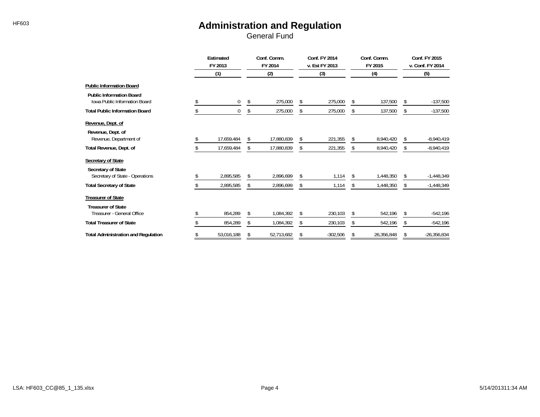|                                                                         | Estimated<br>FY 2013 |            |    | Conf. Comm.<br>FY 2014 | Conf. FY 2014<br>v. Est FY 2013 |    | Conf. Comm.<br>FY 2015 | Conf. FY 2015<br>v. Conf. FY 2014 |               |  |
|-------------------------------------------------------------------------|----------------------|------------|----|------------------------|---------------------------------|----|------------------------|-----------------------------------|---------------|--|
|                                                                         |                      | (1)        |    | (2)                    | (3)                             |    | (4)                    | (5)                               |               |  |
| <b>Public Information Board</b>                                         |                      |            |    |                        |                                 |    |                        |                                   |               |  |
| <b>Public Information Board</b><br><b>Iowa Public Information Board</b> |                      | 0          | Ŝ. | 275,000                | \$<br>275,000                   | \$ | 137,500                | \$                                | $-137,500$    |  |
| <b>Total Public Information Board</b>                                   |                      | 0          |    | 275,000                | \$<br>275,000                   |    | 137,500                | \$                                | $-137,500$    |  |
| Revenue, Dept. of                                                       |                      |            |    |                        |                                 |    |                        |                                   |               |  |
| Revenue, Dept. of<br>Revenue, Department of                             |                      | 17,659,484 | Ŝ. | 17,880,839             | \$<br>221,355                   | \$ | 8,940,420              | \$                                | $-8,940,419$  |  |
| Total Revenue, Dept. of                                                 |                      | 17,659,484 | \$ | 17,880,839             | \$<br>221,355                   | \$ | 8,940,420              | \$                                | $-8,940,419$  |  |
| Secretary of State                                                      |                      |            |    |                        |                                 |    |                        |                                   |               |  |
| Secretary of State<br>Secretary of State - Operations                   |                      | 2,895,585  | S. | 2,896,699              | \$<br>1,114                     | s. | 1,448,350              | \$                                | $-1,448,349$  |  |
| <b>Total Secretary of State</b>                                         |                      | 2,895,585  | \$ | 2,896,699              | \$<br>1,114                     | \$ | 1,448,350              | \$                                | $-1,448,349$  |  |
| <b>Treasurer of State</b>                                               |                      |            |    |                        |                                 |    |                        |                                   |               |  |
| <b>Treasurer of State</b><br>Treasurer - General Office                 |                      | 854,289    | S. | 1,084,392              | \$<br>230,103                   | \$ | 542,196                | \$                                | $-542,196$    |  |
| <b>Total Treasurer of State</b>                                         |                      | 854,289    | \$ | 1,084,392              | \$<br>230,103                   | \$ | 542,196                | \$                                | $-542,196$    |  |
| <b>Total Administration and Regulation</b>                              | \$                   | 53,016,188 | \$ | 52,713,682             | \$<br>$-302,506$                | \$ | 26,356,848             | \$                                | $-26,356,834$ |  |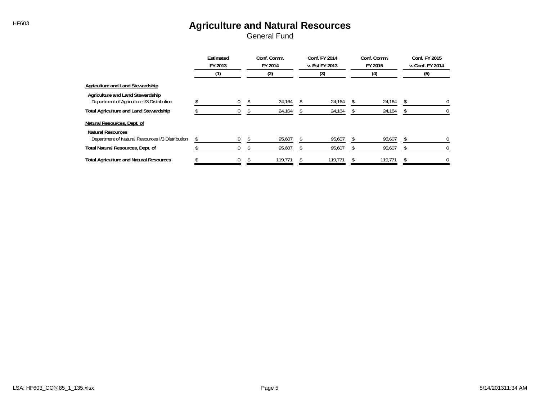### HF603 **Agriculture and Natural Resources**

|                                                                                | Estimated<br>FY 2013 |   | Conf. Comm.<br>FY 2014 | Conf. FY 2014<br>v. Est FY 2013 | Conf. Comm.<br>FY 2015 | Conf. FY 2015<br>v. Conf. FY 2014 |          |
|--------------------------------------------------------------------------------|----------------------|---|------------------------|---------------------------------|------------------------|-----------------------------------|----------|
|                                                                                | (1)                  |   | (2)                    | (3)                             | (4)                    |                                   | (5)      |
| Agriculture and Land Stewardship                                               |                      |   |                        |                                 |                        |                                   |          |
| Agriculture and Land Stewardship<br>Department of Agriculture I/3 Distribution |                      |   | 24,164                 | 24,164                          | 24,164                 |                                   | $\Omega$ |
| <b>Total Agriculture and Land Stewardship</b>                                  |                      |   | 24,164                 | 24,164                          | 24,164                 |                                   | $^{0}$   |
| Natural Resources, Dept. of                                                    |                      |   |                        |                                 |                        |                                   |          |
| <b>Natural Resources</b><br>Department of Natural Resources I/3 Distribution   |                      | 0 | 95,607                 | 95,607                          | 95,607                 |                                   |          |
| Total Natural Resources, Dept. of                                              |                      |   | 95,607                 | 95,607                          | 95,607                 |                                   |          |
| <b>Total Agriculture and Natural Resources</b>                                 |                      | 0 | 119.771                | 119.771                         | 119,771                |                                   |          |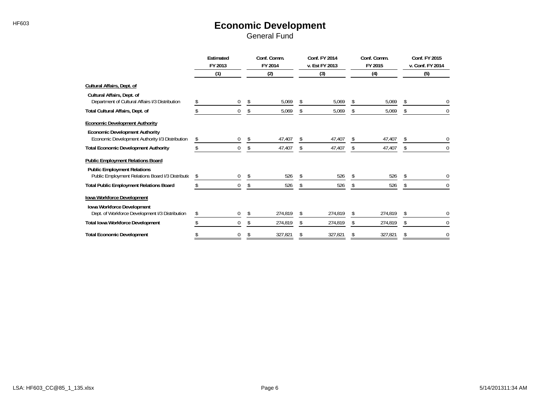#### HF603 **Economic Development** General Fund

|                                                                                          | Estimated<br>FY 2013 |              |     | Conf. Comm.<br>FY 2014 |    | <b>Conf. FY 2014</b><br>v. Est FY 2013 |    | Conf. Comm.<br>FY 2015 | Conf. FY 2015<br>v. Conf. FY 2014 |              |
|------------------------------------------------------------------------------------------|----------------------|--------------|-----|------------------------|----|----------------------------------------|----|------------------------|-----------------------------------|--------------|
|                                                                                          |                      | (1)          |     | (2)                    |    | (3)                                    |    | (4)                    |                                   | (5)          |
| Cultural Affairs, Dept. of                                                               |                      |              |     |                        |    |                                        |    |                        |                                   |              |
| Cultural Affairs, Dept. of<br>Department of Cultural Affairs I/3 Distribution            |                      | 0            | \$. | 5,069                  | \$ | 5,069                                  |    | 5,069                  | \$.                               | $\Omega$     |
| Total Cultural Affairs, Dept. of                                                         |                      | 0            |     | 5,069                  |    | 5,069                                  |    | 5,069                  |                                   | 0            |
| <b>Economic Development Authority</b>                                                    |                      |              |     |                        |    |                                        |    |                        |                                   |              |
| <b>Economic Development Authority</b><br>Economic Development Authority I/3 Distribution | S                    | $\mathbf{0}$ | \$  | 47,407                 | \$ | 47,407                                 | S  | 47,407                 | \$                                | 0            |
| <b>Total Economic Development Authority</b>                                              |                      | $\Omega$     | \$  | 47,407                 | \$ | 47,407                                 | \$ | 47,407                 | \$                                | $\mathbf{0}$ |
| <b>Public Employment Relations Board</b>                                                 |                      |              |     |                        |    |                                        |    |                        |                                   |              |
| <b>Public Employment Relations</b><br>Public Employment Relations Board I/3 Distributic  |                      | 0            | \$  | 526                    |    | 526                                    |    | 526                    | \$                                |              |
| <b>Total Public Employment Relations Board</b>                                           |                      | $\mathbf{0}$ | \$  | 526                    | \$ | 526                                    | \$ | 526                    | \$                                | $\bf{0}$     |
| Iowa Workforce Development                                                               |                      |              |     |                        |    |                                        |    |                        |                                   |              |
| Iowa Workforce Development<br>Dept. of Workforce Development I/3 Distribution            |                      | $\left($     |     | 274,819                |    | 274,819                                |    | 274,819                |                                   | $\Omega$     |
| <b>Total Iowa Workforce Development</b>                                                  |                      | $\Omega$     |     | 274,819                |    | 274,819                                | S. | 274,819                | S.                                | $\Omega$     |
| <b>Total Economic Development</b>                                                        |                      | 0            | \$  | 327,821                |    | 327,821                                | \$ | 327,821                | S.                                | $\mathbf 0$  |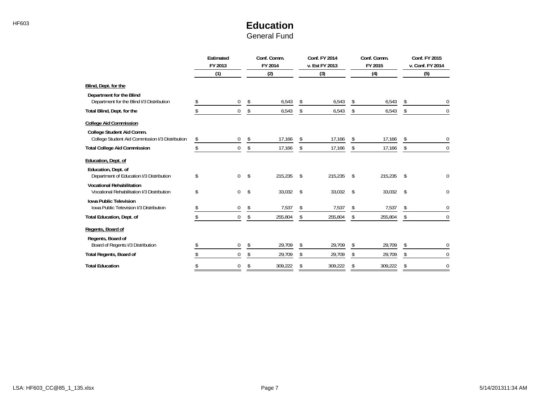## HF603 **Education**

| General Fund |  |
|--------------|--|
|--------------|--|

|                                                                                                               | <b>Estimated</b><br>FY 2013<br>(1) |    | Conf. Comm.<br>FY 2014<br>(2) |    | Conf. FY 2014<br>v. Est FY 2013<br>(3) |    | Conf. Comm.<br>FY 2015<br>(4) |    | Conf. FY 2015<br>v. Conf. FY 2014<br>(5) |
|---------------------------------------------------------------------------------------------------------------|------------------------------------|----|-------------------------------|----|----------------------------------------|----|-------------------------------|----|------------------------------------------|
| Blind, Dept. for the                                                                                          |                                    |    |                               |    |                                        |    |                               |    |                                          |
| Department for the Blind<br>Department for the Blind I/3 Distribution                                         | $\mathbf{0}$                       | \$ | 6,543                         | \$ | 6,543                                  | \$ | 6,543                         | \$ |                                          |
| Total Blind, Dept. for the                                                                                    | $\Omega$                           | \$ | 6,543                         | \$ | 6,543                                  | \$ | 6,543                         | \$ | $\mathbf 0$                              |
| <b>College Aid Commission</b><br>College Student Aid Comm.<br>College Student Aid Commission I/3 Distribution | \$<br>0                            | \$ | 17,166                        | \$ | 17,166                                 | \$ | 17,166                        | \$ | 0                                        |
| <b>Total College Aid Commission</b>                                                                           | 0                                  | \$ | 17,166                        | \$ | 17,166                                 | \$ | 17,166                        | \$ | 0                                        |
| Education, Dept. of<br>Education, Dept. of<br>Department of Education I/3 Distribution                        | \$<br>$\mathbf 0$                  | \$ | 215,235                       | \$ | 215,235                                | \$ | 215,235                       | \$ | 0                                        |
| <b>Vocational Rehabilitation</b><br>Vocational Rehabilitation I/3 Distribution                                | \$<br>0                            | \$ | 33,032                        | \$ | 33,032                                 | \$ | 33,032                        | \$ | 0                                        |
| <b>Iowa Public Television</b><br>Iowa Public Television I/3 Distribution                                      | 0                                  | \$ | 7,537                         | \$ | 7,537                                  | \$ | 7,537                         | \$ | 0                                        |
| <b>Total Education, Dept. of</b>                                                                              | 0                                  | \$ | 255,804                       | \$ | 255,804                                | \$ | 255,804                       | \$ | 0                                        |
| Regents, Board of<br>Regents, Board of                                                                        |                                    |    |                               |    |                                        |    |                               |    |                                          |
| Board of Regents I/3 Distribution                                                                             | 0                                  |    | 29,709                        | \$ | 29,709                                 | \$ | 29,709                        | \$ | 0                                        |
| <b>Total Regents, Board of</b>                                                                                | 0                                  |    | 29,709                        | \$ | 29,709                                 | \$ | 29,709                        | \$ | $\mathbf 0$                              |
| <b>Total Education</b>                                                                                        | 0                                  |    | 309,222                       | \$ | 309,222                                | \$ | 309,222                       | \$ | $\mathbf 0$                              |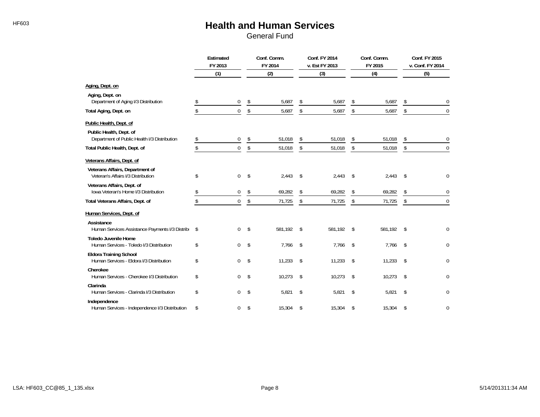## HF603 **Health and Human Services**

|                                                                           | Estimated<br>FY 2013 |             | Conf. Comm.<br>FY 2014 |    | <b>Conf. FY 2014</b><br>v. Est FY 2013 |     | Conf. Comm.<br>FY 2015 |     | Conf. FY 2015<br>v. Conf. FY 2014 |
|---------------------------------------------------------------------------|----------------------|-------------|------------------------|----|----------------------------------------|-----|------------------------|-----|-----------------------------------|
|                                                                           |                      | (1)         | (2)                    |    | (3)                                    | (4) |                        | (5) |                                   |
| Aging, Dept. on                                                           |                      |             |                        |    |                                        |     |                        |     |                                   |
| Aging, Dept. on<br>Department of Aging I/3 Distribution                   |                      | $\mathbf 0$ | \$<br>5,687            | \$ | 5,687                                  | \$  | 5,687                  | \$  | $\boldsymbol{0}$                  |
| Total Aging, Dept. on                                                     | \$                   | $\mathbf 0$ | \$<br>5,687            | \$ | 5,687                                  | \$  | 5,687                  | \$  | $\Omega$                          |
| Public Health, Dept. of                                                   |                      |             |                        |    |                                        |     |                        |     |                                   |
| Public Health, Dept. of<br>Department of Public Health I/3 Distribution   | \$                   | 0           | \$<br>51,018           | \$ | 51,018                                 | \$  | 51,018                 | \$  | 0                                 |
| Total Public Health, Dept. of                                             | \$                   | $\mathbf 0$ | \$<br>51,018           | \$ | 51,018                                 | \$  | 51,018                 | \$  | $\Omega$                          |
| Veterans Affairs, Dept. of                                                |                      |             |                        |    |                                        |     |                        |     |                                   |
| Veterans Affairs, Department of<br>Veteran's Affairs I/3 Distribution     | \$                   | $\mathbf 0$ | \$<br>2.443            | \$ | 2,443                                  | \$  | 2,443                  | \$  | 0                                 |
| Veterans Affairs, Dept. of<br>Iowa Veteran's Home I/3 Distribution        |                      | $\mathbf 0$ | \$<br>69,282           | \$ | 69,282                                 | \$  | 69,282                 | \$  | $\mathbf 0$                       |
| Total Veterans Affairs, Dept. of                                          | \$                   | $\mathbf 0$ | \$<br>71,725           | \$ | 71,725                                 | \$  | 71,725                 | \$  | $\mathbf 0$                       |
| Human Services, Dept. of                                                  |                      |             |                        |    |                                        |     |                        |     |                                   |
| Assistance<br>Human Services Assistance Payments I/3 Distrib              | \$                   | $\mathbf 0$ | \$<br>581,192          | \$ | 581,192                                | \$  | 581,192                | -\$ | $\Omega$                          |
| <b>Toledo Juvenile Home</b><br>Human Services - Toledo I/3 Distribution   | \$                   | $\mathbf 0$ | \$<br>7,766            | \$ | 7,766                                  | \$  | 7,766                  | \$  | 0                                 |
| <b>Eldora Training School</b><br>Human Services - Eldora I/3 Distribution | \$                   | $\mathbf 0$ | \$<br>11,233           | \$ | 11,233                                 | \$  | 11,233                 | \$  | $\Omega$                          |
| Cherokee<br>Human Services - Cherokee I/3 Distribution                    | \$                   | $\Omega$    | \$<br>10,273           | \$ | 10,273                                 | \$  | 10,273                 | Ŝ.  | $\theta$                          |
| Clarinda<br>Human Services - Clarinda I/3 Distribution                    | \$                   | $\Omega$    | \$<br>5,821            | \$ | 5,821                                  | \$  | 5,821                  | \$  | $\mathbf{0}$                      |
| Independence<br>Human Services - Independence I/3 Distribution            | \$                   | $\Omega$    | \$<br>15,304           | \$ | 15,304                                 | \$  | 15,304                 | \$  | $\mathbf{0}$                      |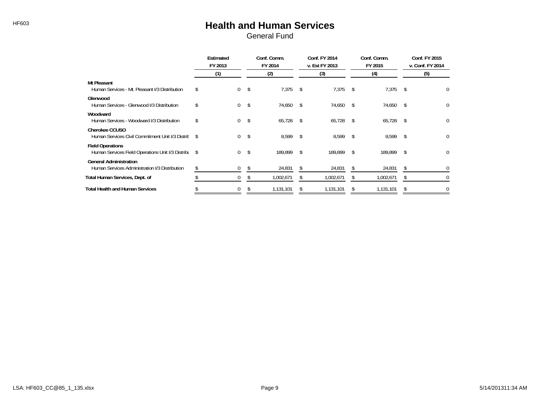#### HF603 **Health and Human Services** General Fund

|                                                                                 | Estimated<br>FY 2013 |    | Conf. Comm.<br>FY 2014 |    | Conf. FY 2014<br>v. Est FY 2013 | Conf. Comm.<br>FY 2015 |           |     | Conf. FY 2015<br>v. Conf. FY 2014 |
|---------------------------------------------------------------------------------|----------------------|----|------------------------|----|---------------------------------|------------------------|-----------|-----|-----------------------------------|
|                                                                                 | (1)                  |    | (2)                    |    | (3)                             |                        | (4)       |     | (5)                               |
| Mt Pleasant<br>Human Services - Mt. Pleasant I/3 Distribution                   | \$<br>$\mathbf{0}$   | \$ | 7,375                  | \$ | 7,375                           | - \$                   | 7,375     | -\$ | 0                                 |
| Glenwood<br>Human Services - Glenwood I/3 Distribution                          | \$<br>0              | \$ | 74,650                 | \$ | 74,650                          | <sup>\$</sup>          | 74,650    | Ŝ.  | 0                                 |
| Woodward<br>Human Services - Woodward I/3 Distribution                          | \$<br>$\mathbf{0}$   | \$ | 65,728                 | \$ | $65,728$ \$                     |                        | 65,728    | -\$ | 0                                 |
| <b>Cherokee CCUSO</b><br>Human Services Civil Commitment Unit I/3 Distrit \$    | 0                    | \$ | 8,599                  | \$ | 8,599                           | - \$                   | 8,599     | \$  | 0                                 |
| <b>Field Operations</b><br>Human Services Field Operations Unit I/3 Distribu \$ | 0                    | \$ | 189.899                | \$ | 189.899                         | - \$                   | 189,899   | \$  | 0                                 |
| <b>General Administration</b><br>Human Services Administration I/3 Distribution | 0                    | \$ | 24,831                 | \$ | 24,831                          |                        | 24,831    | \$  | 0                                 |
| Total Human Services, Dept. of                                                  |                      | Ж  | 1,002,671              |    | 1,002,671                       |                        | 1,002,671 | S.  | 0                                 |
| <b>Total Health and Human Services</b>                                          | 0                    |    | 1,131,101              |    | 1,131,101                       |                        | 1,131,101 |     | 0                                 |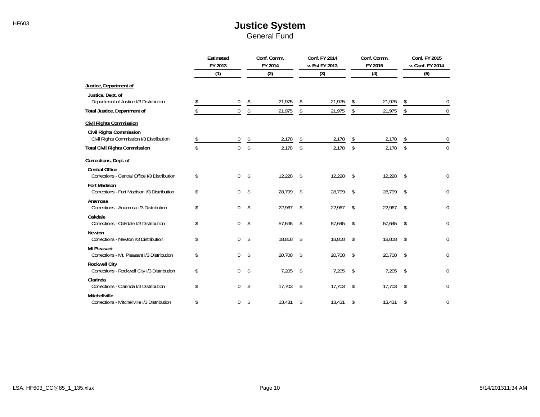# HF603 **HF603 Justice System**

|                                                                            | Estimated<br>FY 2013 |             | Conf. Comm.<br>Conf. FY 2014<br>FY 2014<br>v. Est FY 2013 |        |    |        | Conf. Comm.<br>FY 2015 | Conf. FY 2015<br>v. Conf. FY 2014 |     |             |
|----------------------------------------------------------------------------|----------------------|-------------|-----------------------------------------------------------|--------|----|--------|------------------------|-----------------------------------|-----|-------------|
|                                                                            |                      | (1)         |                                                           | (2)    |    | (3)    |                        | (4)                               | (5) |             |
| Justice, Department of                                                     |                      |             |                                                           |        |    |        |                        |                                   |     |             |
| Justice, Dept. of<br>Department of Justice I/3 Distribution                |                      | 0           | \$                                                        | 21,975 | \$ | 21,975 | \$                     | 21,975                            | \$  | 0           |
| Total Justice, Department of                                               |                      | $\mathbf 0$ | \$                                                        | 21,975 | \$ | 21,975 | \$                     | 21,975                            | \$  | $\mathbf 0$ |
| <b>Civil Rights Commission</b>                                             |                      |             |                                                           |        |    |        |                        |                                   |     |             |
| <b>Civil Rights Commission</b><br>Civil Rights Commission I/3 Distribution | \$                   | 0           | \$                                                        | 2,178  | \$ | 2,178  | \$                     | 2,178                             | \$  | $\mathbf 0$ |
| <b>Total Civil Rights Commission</b>                                       |                      | $\mathbf 0$ | \$                                                        | 2,178  | \$ | 2,178  | \$                     | 2,178                             | \$  | $\mathbf 0$ |
| Corrections, Dept. of                                                      |                      |             |                                                           |        |    |        |                        |                                   |     |             |
| <b>Central Office</b><br>Corrections - Central Office I/3 Distribution     | \$                   | 0           | \$                                                        | 12,228 | \$ | 12,228 | -\$                    | 12,228                            | \$  | 0           |
| <b>Fort Madison</b><br>Corrections - Fort Madison I/3 Distribution         | \$                   | 0           | \$                                                        | 28,799 | \$ | 28,799 | \$                     | 28,799                            | \$  | $\pmb{0}$   |
| Anamosa<br>Corrections - Anamosa I/3 Distribution                          | \$                   | 0           | \$                                                        | 22,967 | \$ | 22,967 | \$                     | 22,967                            | \$  | 0           |
| Oakdale<br>Corrections - Oakdale I/3 Distribution                          | \$                   | 0           | \$                                                        | 57,645 | \$ | 57,645 | \$                     | 57,645                            | \$  | $\mathbf 0$ |
| Newton<br>Corrections - Newton I/3 Distribution                            | \$                   | 0           | \$                                                        | 18,818 | \$ | 18,818 | -\$                    | 18,818                            | \$  | 0           |
| <b>Mt Pleasant</b><br>Corrections - Mt. Pleasant I/3 Distribution          | \$                   | 0           | \$                                                        | 20,708 | \$ | 20,708 | -\$                    | 20,708                            | \$  | 0           |
| <b>Rockwell City</b><br>Corrections - Rockwell City I/3 Distribution       | \$                   | 0           | \$                                                        | 7,205  | \$ | 7,205  | \$                     | 7,205                             | \$  | 0           |
| Clarinda<br>Corrections - Clarinda I/3 Distribution                        | \$                   | 0           | \$                                                        | 17,703 | \$ | 17,703 | \$                     | 17,703                            | \$  | 0           |
| Mitchellville<br>Corrections - Mitchellville I/3 Distribution              | \$                   | 0           | \$                                                        | 13,431 | \$ | 13,431 | \$                     | 13,431                            | \$  | 0           |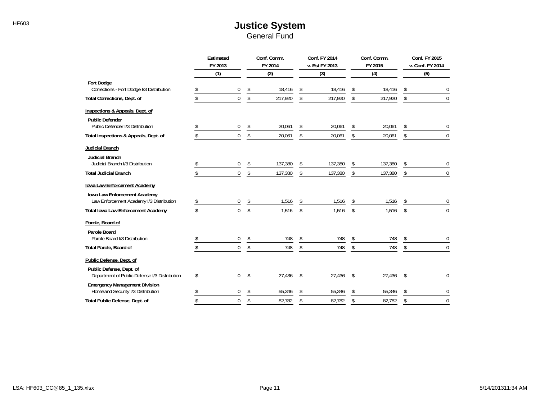#### HF603 **HF603 Justice System** General Fund

|                                                                            | Estimated<br>FY 2013 | Conf. Comm.<br>FY 2014 | Conf. FY 2014<br>v. Est FY 2013 |    | Conf. Comm.<br>FY 2015 |    | <b>Conf. FY 2015</b><br>v. Conf. FY 2014 |
|----------------------------------------------------------------------------|----------------------|------------------------|---------------------------------|----|------------------------|----|------------------------------------------|
|                                                                            | (1)                  | (2)                    | (3)                             |    | (4)                    |    | (5)                                      |
| <b>Fort Dodge</b><br>Corrections - Fort Dodge I/3 Distribution             | $\Omega$             | \$<br>18,416           | \$<br>18,416                    |    | 18,416                 | \$ | 0                                        |
| Total Corrections, Dept. of                                                | $\theta$             | \$<br>217,920          | \$<br>217,920                   | \$ | 217,920                | \$ | $\Omega$                                 |
| Inspections & Appeals, Dept. of                                            |                      |                        |                                 |    |                        |    |                                          |
| <b>Public Defender</b><br>Public Defender I/3 Distribution                 | 0                    | \$<br>20,061           | \$<br>20,061                    | \$ | 20,061                 | \$ | $\mathbf 0$                              |
| Total Inspections & Appeals, Dept. of                                      | $\pmb{0}$            | \$<br>20,061           | \$<br>20,061                    | \$ | 20,061                 | \$ | $\overline{0}$                           |
| Judicial Branch                                                            |                      |                        |                                 |    |                        |    |                                          |
| <b>Judicial Branch</b><br>Judicial Branch I/3 Distribution                 | 0                    | \$<br>137,380          | \$<br>137,380                   | \$ | 137,380                | \$ | 0                                        |
| <b>Total Judicial Branch</b>                                               | 0                    | \$<br>137,380          | \$<br>137,380                   | \$ | 137,380                | \$ | $\Omega$                                 |
| lowa Law Enforcement Academy                                               |                      |                        |                                 |    |                        |    |                                          |
| Iowa Law Enforcement Academy<br>Law Enforcement Academy I/3 Distribution   | $\mathbf{0}$         | \$<br>1,516            | \$<br>1,516                     | \$ | 1,516                  | \$ | $\mathbf{0}$                             |
| <b>Total Iowa Law Enforcement Academy</b>                                  | $\overline{0}$       | \$<br>1,516            | \$<br>1,516                     | \$ | 1,516                  | \$ | $\Omega$                                 |
| Parole, Board of                                                           |                      |                        |                                 |    |                        |    |                                          |
| Parole Board<br>Parole Board I/3 Distribution                              | 0                    | \$<br>748              | \$<br>748                       | \$ | 748                    | \$ | 0                                        |
| Total Parole, Board of                                                     | $\Omega$             | \$<br>748              | \$<br>748                       | \$ | 748                    | \$ | $\mathbf{0}$                             |
| Public Defense, Dept. of                                                   |                      |                        |                                 |    |                        |    |                                          |
| Public Defense, Dept. of<br>Department of Public Defense I/3 Distribution  | \$<br>0              | \$<br>27,436           | \$<br>27,436                    | \$ | 27,436                 | \$ | $\Omega$                                 |
| <b>Emergency Management Division</b><br>Homeland Security I/3 Distribution | 0                    | \$<br>55,346           | \$<br>55,346                    | \$ | 55,346                 | \$ | $\mathbf 0$                              |
| Total Public Defense, Dept. of                                             | $\theta$             | \$<br>82,782           | \$<br>82,782                    | \$ | 82,782                 | \$ | $\mathbf 0$                              |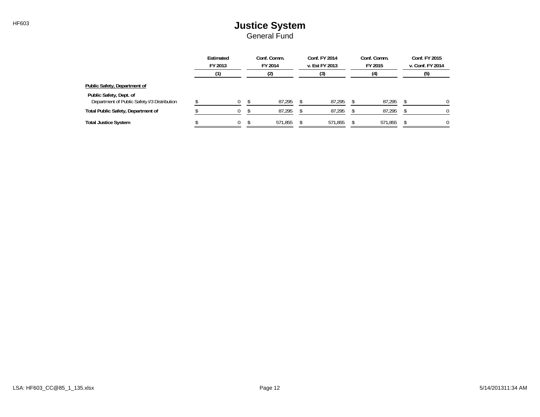#### HF603 **HF603 Justice System** General Fund

|                                                                         | Estimated<br>FY 2013 |          | Conf. Comm.<br>FY 2014 |  | Conf. FY 2014<br>v. Est FY 2013 |  | Conf. Comm.<br>FY 2015 |  | Conf. FY 2015<br>v. Conf. FY 2014 |  |
|-------------------------------------------------------------------------|----------------------|----------|------------------------|--|---------------------------------|--|------------------------|--|-----------------------------------|--|
|                                                                         |                      |          | (2)                    |  | (3)                             |  | (4)                    |  | (5)                               |  |
| Public Safety, Department of                                            |                      |          |                        |  |                                 |  |                        |  |                                   |  |
| Public Safety, Dept. of<br>Department of Public Safety I/3 Distribution |                      | $\Omega$ | 87,295                 |  | 87,295                          |  | 87,295                 |  | 0                                 |  |
| <b>Total Public Safety, Department of</b>                               |                      |          | 87.295                 |  | 87,295                          |  | 87,295                 |  | O.                                |  |
| <b>Total Justice System</b>                                             |                      | $\Omega$ | 571.855                |  | 571,855                         |  | 571,855                |  | 0                                 |  |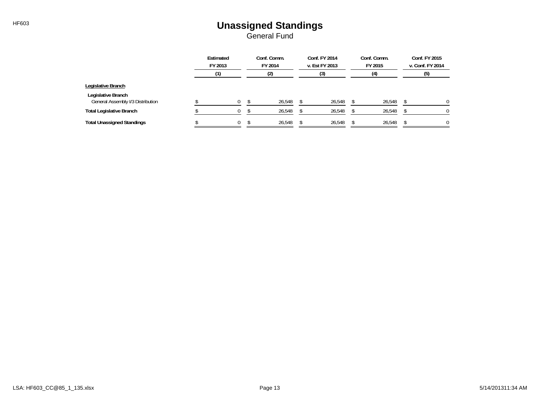#### HF603 **Unassigned Standings** General Fund

|                                                         | Estimated<br>FY 2013 | Conf. Comm.<br>FY 2014 | Conf. FY 2014<br>v. Est FY 2013 | Conf. Comm.<br>FY 2015 | Conf. FY 2015<br>v. Conf. FY 2014 |
|---------------------------------------------------------|----------------------|------------------------|---------------------------------|------------------------|-----------------------------------|
|                                                         |                      | (2)                    | (3)                             | (4)                    | (5)                               |
| Legislative Branch                                      |                      |                        |                                 |                        |                                   |
| Legislative Branch<br>General Assembly I/3 Distribution |                      | 26,548                 | 26,548                          | 26,548                 | 0                                 |
| <b>Total Legislative Branch</b>                         |                      | 26.548                 | 26.548                          | 26,548                 | 0                                 |
| <b>Total Unassigned Standings</b>                       | $\mathbf{0}$         | 26,548                 | 26,548                          | 26,548                 | 0                                 |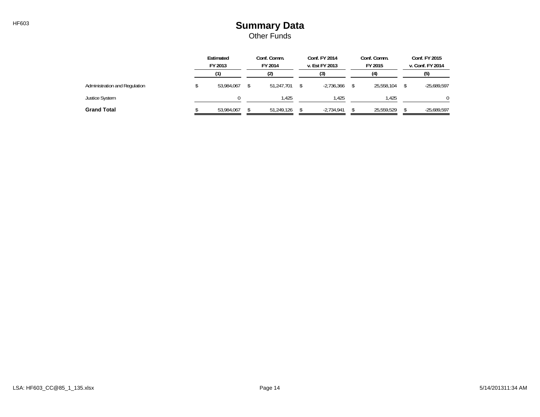### HF603 **Summary Data** Other Funds

|                               | Estimated<br>FY 2013 |            | Conf. Comm.<br>FY 2014<br>(2) |            | Conf. FY 2014<br>v. Est FY 2013<br>(3) |              | Conf. Comm.<br>FY 2015<br>(4) |            | Conf. FY 2015<br>v. Conf. FY 2014<br>(5) |               |
|-------------------------------|----------------------|------------|-------------------------------|------------|----------------------------------------|--------------|-------------------------------|------------|------------------------------------------|---------------|
| Administration and Regulation |                      | 53,984,067 |                               | 51.247.701 |                                        | $-2.736.366$ |                               | 25.558.104 |                                          | $-25,689,597$ |
| Justice System                |                      |            |                               | 1.425      |                                        | 1,425        |                               | 1,425      |                                          |               |
| <b>Grand Total</b>            |                      | 53,984,067 |                               | 51.249.126 |                                        | $-2,734,941$ |                               | 25,559,529 |                                          | $-25,689,597$ |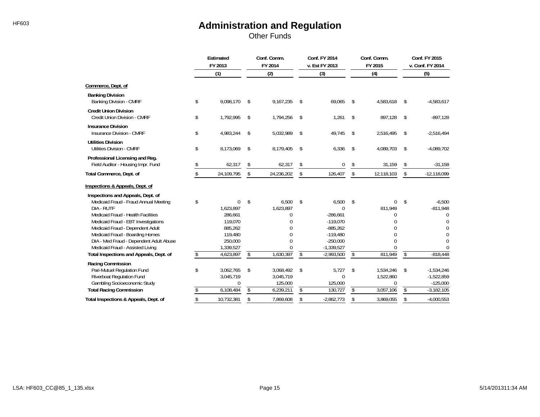Other Funds

|                                                                                                                | Estimated<br>FY 2013 |                                 | Conf. Comm.<br>FY 2014  |                                   | Conf. FY 2014<br>v. Est FY 2013 |                                          | Conf. Comm.<br>FY 2015 |                             | Conf. FY 2015<br>v. Conf. FY 2014 |                                            |
|----------------------------------------------------------------------------------------------------------------|----------------------|---------------------------------|-------------------------|-----------------------------------|---------------------------------|------------------------------------------|------------------------|-----------------------------|-----------------------------------|--------------------------------------------|
|                                                                                                                |                      | (1)                             |                         | (2)                               |                                 | (3)                                      |                        | (4)                         |                                   | (5)                                        |
| Commerce, Dept. of                                                                                             |                      |                                 |                         |                                   |                                 |                                          |                        |                             |                                   |                                            |
| <b>Banking Division</b><br>Banking Division - CMRF                                                             | \$                   | 9,098,170                       | \$                      | 9,167,235                         | \$                              | 69,065                                   | \$                     | 4,583,618                   | \$                                | $-4,583,617$                               |
| <b>Credit Union Division</b><br>Credit Union Division - CMRF                                                   | \$                   | 1,792,995                       | \$                      | 1,794,256                         | \$                              | 1,261                                    | \$                     | 897,128                     | \$                                | $-897,128$                                 |
| <b>Insurance Division</b><br><b>Insurance Division - CMRF</b>                                                  | \$                   | 4,983,244                       | \$                      | 5,032,989                         | \$                              | 49,745                                   | \$                     | 2,516,495                   | \$                                | $-2,516,494$                               |
| <b>Utilities Division</b><br><b>Utilities Division - CMRF</b>                                                  | \$                   | 8,173,069                       | \$                      | 8,179,405                         | \$                              | 6,336                                    | \$                     | 4,089,703                   | \$                                | $-4,089,702$                               |
| Professional Licensing and Reg.<br>Field Auditor - Housing Impr. Fund                                          |                      | 62,317                          | \$                      | 62,317                            | \$                              | 0                                        | \$                     | 31,159                      | \$                                | $-31,158$                                  |
| Total Commerce, Dept. of                                                                                       |                      | 24,109,795                      | \$                      | 24,236,202                        | \$                              | 126,407                                  | \$                     | 12,118,103                  | \$                                | $-12,118,099$                              |
| Inspections & Appeals, Dept. of                                                                                |                      |                                 |                         |                                   |                                 |                                          |                        |                             |                                   |                                            |
| Inspections and Appeals, Dept. of<br>Medicaid Fraud - Fraud Annual Meeting<br>DIA - RUTF                       | \$                   | 0<br>1.623.897                  | \$                      | 6,500<br>1,623,897                | \$                              | 6,500<br>$\Omega$                        | \$                     | 0<br>811,949                | \$                                | $-6,500$<br>$-811,948$                     |
| Medicaid Fraud - Health Facilities<br>Medicaid Fraud - EBT Investigations<br>Medicaid Fraud - Dependent Adult  |                      | 286.661<br>119,070<br>885,262   |                         | 0<br>0<br>$\Omega$                |                                 | $-286.661$<br>$-119.070$<br>$-885,262$   |                        | 0                           |                                   | 0<br>0<br>0                                |
| Medicaid Fraud - Boarding Homes<br>DIA - Med Fraud - Dependent Adult Abuse<br>Medicaid Fraud - Assisted Living |                      | 119,480<br>250,000<br>1,339,527 |                         | $\Omega$<br>$\Omega$<br>0         |                                 | $-119,480$<br>$-250,000$<br>$-1,339,527$ |                        | U<br>0                      |                                   | 0<br>$\Omega$<br>0                         |
| Total Inspections and Appeals, Dept. of                                                                        |                      | 4,623,897                       | $\overline{\mathsf{s}}$ | 1,630,397                         | \$                              | $-2,993,500$                             | \$                     | 811,949                     | $\mathsf{\$}$                     | $-818,448$                                 |
| Racing Commission<br>Pari-Mutuel Regulation Fund<br>Riverboat Regulation Fund<br>Gambling Socioeconomic Study  | \$                   | 3,062,765<br>3,045,719<br>0     | \$                      | 3,068,492<br>3,045,719<br>125,000 | \$                              | 5.727<br>$\Omega$<br>125,000             | \$                     | 1,534,246<br>1,522,860<br>0 | \$                                | $-1,534,246$<br>$-1,522,859$<br>$-125,000$ |
| <b>Total Racing Commission</b>                                                                                 |                      | 6,108,484                       | \$                      | 6,239,211                         | \$                              | 130,727                                  | \$                     | 3,057,106                   | \$                                | $-3,182,105$                               |
| Total Inspections & Appeals, Dept. of                                                                          | \$                   | 10.732.381                      | \$                      | 7.869.608                         | \$                              | $-2.862.773$                             | \$                     | 3.869.055                   | \$                                | $-4.000.553$                               |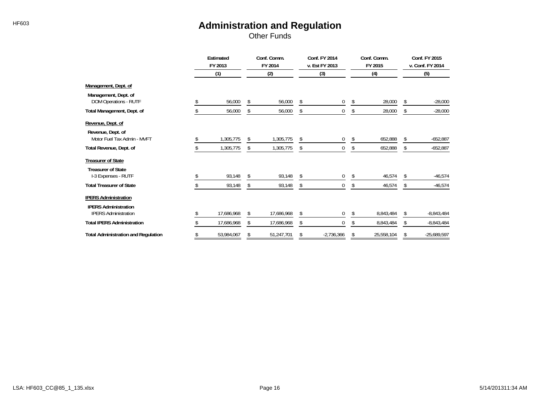Other Funds

|                                                            | Estimated<br>FY 2013 |            | Conf. Comm.<br>FY 2014 |            | Conf. FY 2014<br>v. Est FY 2013 |              | Conf. Comm.<br>FY 2015 |            | Conf. FY 2015<br>v. Conf. FY 2014 |               |
|------------------------------------------------------------|----------------------|------------|------------------------|------------|---------------------------------|--------------|------------------------|------------|-----------------------------------|---------------|
|                                                            |                      | (1)        |                        | (2)        |                                 | (3)          |                        | (4)        |                                   | (5)           |
| Management, Dept. of                                       |                      |            |                        |            |                                 |              |                        |            |                                   |               |
| Management, Dept. of<br><b>DOM Operations - RUTF</b>       |                      | 56,000     | \$                     | 56,000     | \$                              | $\mathbf{0}$ | \$                     | 28,000     | \$                                | $-28,000$     |
| Total Management, Dept. of                                 |                      | 56,000     | S                      | 56,000     | \$                              | 0            | \$                     | 28,000     | \$                                | $-28,000$     |
| Revenue, Dept. of                                          |                      |            |                        |            |                                 |              |                        |            |                                   |               |
| Revenue, Dept. of<br>Motor Fuel Tax Admin - MVFT           |                      | 1,305,775  | \$                     | 1,305,775  | \$                              | $\mathbf 0$  | \$                     | 652,888    | \$                                | $-652,887$    |
| Total Revenue, Dept. of                                    |                      | 1,305,775  | \$                     | 1,305,775  | \$                              | 0            | \$                     | 652,888    | \$                                | $-652,887$    |
| <b>Treasurer of State</b>                                  |                      |            |                        |            |                                 |              |                        |            |                                   |               |
| <b>Treasurer of State</b><br>I-3 Expenses - RUTF           |                      | 93,148     |                        | 93,148     |                                 | 0            | \$                     | 46,574     |                                   | $-46,574$     |
| <b>Total Treasurer of State</b>                            |                      | 93,148     | S                      | 93,148     | \$                              | 0            | \$                     | 46,574     | \$                                | $-46,574$     |
| <b>IPERS Administration</b><br><b>IPERS Administration</b> |                      |            |                        |            |                                 |              |                        |            |                                   |               |
| <b>IPERS Administration</b>                                |                      | 17,686,968 | ſ.                     | 17,686,968 | \$                              | 0            | \$                     | 8,843,484  | S                                 | $-8,843,484$  |
| <b>Total IPERS Administration</b>                          |                      | 17,686,968 | \$                     | 17,686,968 | \$                              | 0            | \$                     | 8,843,484  | \$                                | $-8,843,484$  |
| <b>Total Administration and Regulation</b>                 | \$                   | 53,984,067 | \$                     | 51,247,701 | \$                              | $-2,736,366$ | \$                     | 25,558,104 | \$                                | $-25,689,597$ |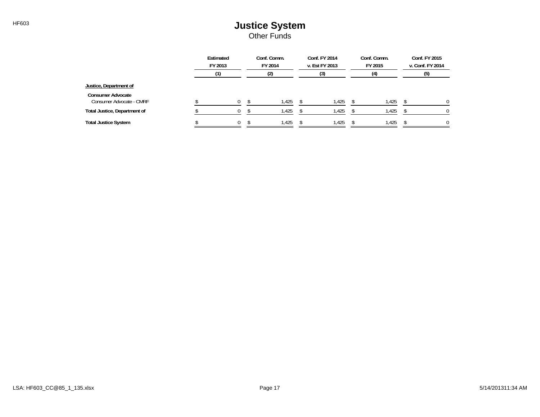#### HF603 **HF603 Justice System** Other Funds

|                                                      | Estimated<br>FY 2013 | Conf. Comm.<br>FY 2014 | Conf. FY 2014<br>v. Est FY 2013 | Conf. Comm.<br>FY 2015 | Conf. FY 2015<br>v. Conf. FY 2014 |
|------------------------------------------------------|----------------------|------------------------|---------------------------------|------------------------|-----------------------------------|
|                                                      |                      | (2)                    | (3)                             | (4)                    | (5)                               |
| Justice, Department of                               |                      |                        |                                 |                        |                                   |
| <b>Consumer Advocate</b><br>Consumer Advocate - CMRF |                      | .425                   | 1,425                           | 1,425                  | <sup>0</sup>                      |
| Total Justice, Department of                         | 0                    | .425                   | 1,425                           | 1,425                  |                                   |
| <b>Total Justice System</b>                          | 0                    | 1,425                  | 1,425                           | 1,425                  | 0                                 |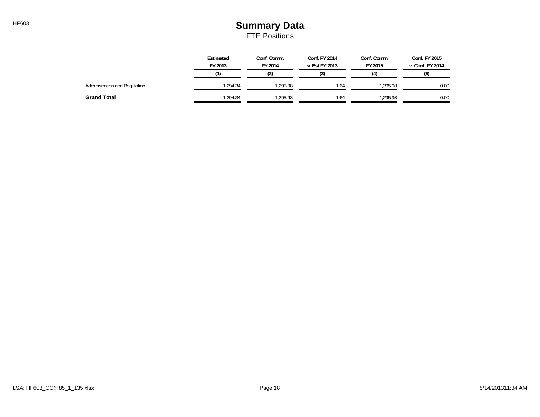### HF603 **Summary Data** FTE Positions

|                               | Estimated<br>FY 2013 | Conf. Comm.<br>Conf. FY 2014<br>Conf. Comm.<br>FY 2014<br>FY 2015<br>v. Est FY 2013 |      | Conf. FY 2015<br>v. Conf. FY 2014 |      |
|-------------------------------|----------------------|-------------------------------------------------------------------------------------|------|-----------------------------------|------|
|                               |                      | (2)                                                                                 | (3)  | (4)                               | (5)  |
| Administration and Regulation | .294.34              | 1.295.98                                                                            | 1.64 | .295.98                           | 0.00 |
| <b>Grand Total</b>            | .294.34              | 1.295.98                                                                            | 1.64 | .295.98                           | 0.00 |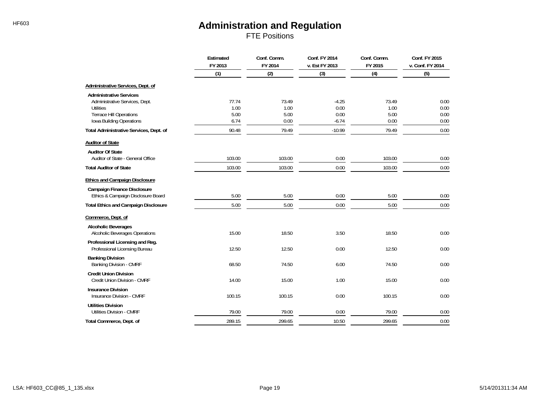FTE Positions

|                                                                                                                                             | Estimated<br>FY 2013          | Conf. Comm.<br>FY 2014        | Conf. FY 2014<br>v. Est FY 2013    | Conf. Comm.<br>FY 2015        | Conf. FY 2015<br>v. Conf. FY 2014 |
|---------------------------------------------------------------------------------------------------------------------------------------------|-------------------------------|-------------------------------|------------------------------------|-------------------------------|-----------------------------------|
|                                                                                                                                             | (1)                           | (2)                           | (3)                                | (4)                           | (5)                               |
| Administrative Services, Dept. of                                                                                                           |                               |                               |                                    |                               |                                   |
| <b>Administrative Services</b><br>Administrative Services, Dept.<br>Utilities<br><b>Terrace Hill Operations</b><br>Iowa Building Operations | 77.74<br>1.00<br>5.00<br>6.74 | 73.49<br>1.00<br>5.00<br>0.00 | $-4.25$<br>0.00<br>0.00<br>$-6.74$ | 73.49<br>1.00<br>5.00<br>0.00 | 0.00<br>0.00<br>0.00<br>0.00      |
| Total Administrative Services, Dept. of                                                                                                     | 90.48                         | 79.49                         | $-10.99$                           | 79.49                         | 0.00                              |
| <b>Auditor of State</b>                                                                                                                     |                               |                               |                                    |                               |                                   |
| <b>Auditor Of State</b><br>Auditor of State - General Office                                                                                | 103.00                        | 103.00                        | 0.00                               | 103.00                        | 0.00                              |
| <b>Total Auditor of State</b>                                                                                                               | 103.00                        | 103.00                        | 0.00                               | 103.00                        | 0.00                              |
| <b>Ethics and Campaign Disclosure</b>                                                                                                       |                               |                               |                                    |                               |                                   |
| <b>Campaign Finance Disclosure</b><br>Ethics & Campaign Disclosure Board                                                                    | 5.00                          | 5.00                          | 0.00                               | 5.00                          | 0.00                              |
| <b>Total Ethics and Campaign Disclosure</b>                                                                                                 | 5.00                          | 5.00                          | 0.00                               | 5.00                          | 0.00                              |
| Commerce, Dept. of                                                                                                                          |                               |                               |                                    |                               |                                   |
| <b>Alcoholic Beverages</b><br><b>Alcoholic Beverages Operations</b>                                                                         | 15.00                         | 18.50                         | 3.50                               | 18.50                         | 0.00                              |
| Professional Licensing and Reg.<br>Professional Licensing Bureau                                                                            | 12.50                         | 12.50                         | 0.00                               | 12.50                         | 0.00                              |
| <b>Banking Division</b><br>Banking Division - CMRF                                                                                          | 68.50                         | 74.50                         | 6.00                               | 74.50                         | 0.00                              |
| <b>Credit Union Division</b><br>Credit Union Division - CMRF                                                                                | 14.00                         | 15.00                         | 1.00                               | 15.00                         | 0.00                              |
| <b>Insurance Division</b><br>Insurance Division - CMRF                                                                                      | 100.15                        | 100.15                        | 0.00                               | 100.15                        | 0.00                              |
| <b>Utilities Division</b><br><b>Utilities Division - CMRF</b>                                                                               | 79.00                         | 79.00                         | 0.00                               | 79.00                         | 0.00                              |
| Total Commerce, Dept. of                                                                                                                    | 289.15                        | 299.65                        | 10.50                              | 299.65                        | 0.00                              |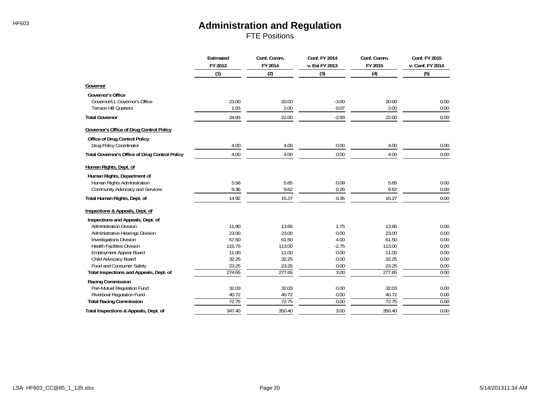FTE Positions

|                                                       | Estimated<br>FY 2013 | Conf. Comm.<br>FY 2014 | Conf. FY 2014<br>v. Est FY 2013 | Conf. Comm.<br>FY 2015 | Conf. FY 2015<br>v. Conf. FY 2014 |
|-------------------------------------------------------|----------------------|------------------------|---------------------------------|------------------------|-----------------------------------|
|                                                       | (1)                  | (2)                    | (3)                             | (4)                    | (5)                               |
| Governor                                              |                      |                        |                                 |                        |                                   |
| Governor's Office                                     |                      |                        |                                 |                        |                                   |
| Governor/Lt. Governor's Office                        | 23.00                | 20.00                  | $-3.00$                         | 20.00                  | 0.00                              |
| <b>Terrace Hill Quarters</b>                          | 1.93                 | 2.00                   | 0.07                            | 2.00                   | 0.00                              |
| <b>Total Governor</b>                                 | 24.93                | 22.00                  | $-2.93$                         | 22.00                  | 0.00                              |
| Governor's Office of Drug Control Policy              |                      |                        |                                 |                        |                                   |
| Office of Drug Control Policy                         |                      |                        |                                 |                        |                                   |
| Drug Policy Coordinator                               | 4.00                 | 4.00                   | 0.00                            | 4.00                   | 0.00                              |
| <b>Total Governor's Office of Drug Control Policy</b> | 4.00                 | 4.00                   | 0.00                            | 4.00                   | 0.00                              |
| Human Rights, Dept. of                                |                      |                        |                                 |                        |                                   |
| Human Rights, Department of                           |                      |                        |                                 |                        |                                   |
| Human Rights Administration                           | 5.56                 | 5.65                   | 0.09                            | 5.65                   | 0.00                              |
| Community Advocacy and Services                       | 9.36                 | 9.62                   | 0.26                            | 9.62                   | 0.00                              |
| Total Human Rights, Dept. of                          | 14.92                | 15.27                  | 0.35                            | 15.27                  | 0.00                              |
| Inspections & Appeals, Dept. of                       |                      |                        |                                 |                        |                                   |
| Inspections and Appeals, Dept. of                     |                      |                        |                                 |                        |                                   |
| <b>Administration Division</b>                        | 11.90                | 13.65                  | 1.75                            | 13.65                  | 0.00                              |
| Administrative Hearings Division                      | 23.00                | 23.00                  | 0.00                            | 23.00                  | 0.00                              |
| <b>Investigations Division</b>                        | 57.50                | 61.50                  | 4.00                            | 61.50                  | 0.00                              |
| <b>Health Facilities Division</b>                     | 115.75               | 113.00                 | $-2.75$                         | 113.00                 | 0.00                              |
| <b>Employment Appeal Board</b>                        | 11.00                | 11.00                  | 0.00                            | 11.00                  | 0.00                              |
| Child Advocacy Board                                  | 32.25                | 32.25                  | 0.00                            | 32.25                  | 0.00                              |
| Food and Consumer Safety                              | 23.25                | 23.25                  | 0.00                            | 23.25                  | 0.00                              |
| Total Inspections and Appeals, Dept. of               | 274.65               | 277.65                 | 3.00                            | 277.65                 | 0.00                              |
| Racing Commission                                     |                      |                        |                                 |                        |                                   |
| Pari-Mutuel Regulation Fund                           | 32.03                | 32.03                  | 0.00                            | 32.03                  | 0.00                              |
| Riverboat Regulation Fund                             | 40.72                | 40.72                  | 0.00                            | 40.72                  | 0.00                              |
| <b>Total Racing Commission</b>                        | 72.75                | 72.75                  | 0.00                            | 72.75                  | 0.00                              |
| Total Inspections & Appeals, Dept. of                 | 347.40               | 350.40                 | 3.00                            | 350.40                 | 0.00                              |